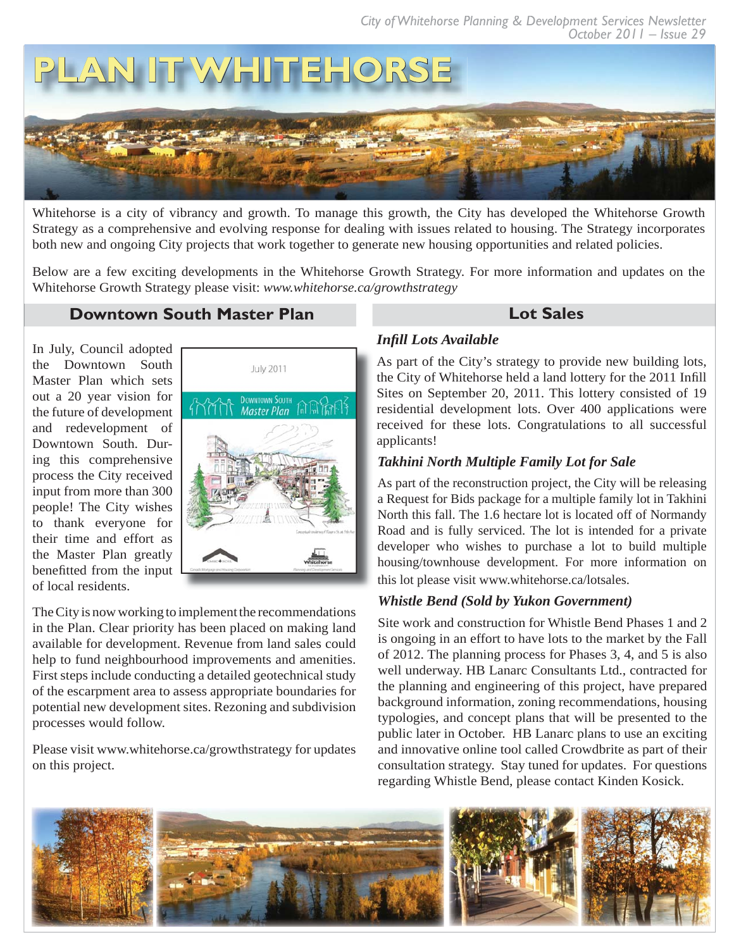

Whitehorse is a city of vibrancy and growth. To manage this growth, the City has developed the Whitehorse Growth Strategy as a comprehensive and evolving response for dealing with issues related to housing. The Strategy incorporates both new and ongoing City projects that work together to generate new housing opportunities and related policies.

Below are a few exciting developments in the Whitehorse Growth Strategy. For more information and updates on the Whitehorse Growth Strategy please visit: *www.whitehorse.ca/growthstrategy*

# **Downtown South Master Plan Lot Sales**

In July, Council adopted the Downtown South Master Plan which sets out a 20 year vision for the future of development and redevelopment of Downtown South. During this comprehensive process the City received input from more than 300 people! The City wishes to thank everyone for their time and effort as the Master Plan greatly benefitted from the input of local residents.



The City is now working to implement the recommendations in the Plan. Clear priority has been placed on making land available for development. Revenue from land sales could help to fund neighbourhood improvements and amenities. First steps include conducting a detailed geotechnical study of the escarpment area to assess appropriate boundaries for potential new development sites. Rezoning and subdivision processes would follow.

Please visit www.whitehorse.ca/growthstrategy for updates on this project.

### *Infi ll Lots Available*

As part of the City's strategy to provide new building lots, the City of Whitehorse held a land lottery for the 2011 Infill Sites on September 20, 2011. This lottery consisted of 19 residential development lots. Over 400 applications were received for these lots. Congratulations to all successful applicants!

## *Takhini North Multiple Family Lot for Sale*

As part of the reconstruction project, the City will be releasing a Request for Bids package for a multiple family lot in Takhini North this fall. The 1.6 hectare lot is located off of Normandy Road and is fully serviced. The lot is intended for a private developer who wishes to purchase a lot to build multiple housing/townhouse development. For more information on this lot please visit www.whitehorse.ca/lotsales.

### *Whistle Bend (Sold by Yukon Government)*

Site work and construction for Whistle Bend Phases 1 and 2 is ongoing in an effort to have lots to the market by the Fall of 2012. The planning process for Phases 3, 4, and 5 is also well underway. HB Lanarc Consultants Ltd., contracted for the planning and engineering of this project, have prepared background information, zoning recommendations, housing typologies, and concept plans that will be presented to the public later in October. HB Lanarc plans to use an exciting and innovative online tool called Crowdbrite as part of their consultation strategy. Stay tuned for updates. For questions regarding Whistle Bend, please contact Kinden Kosick.